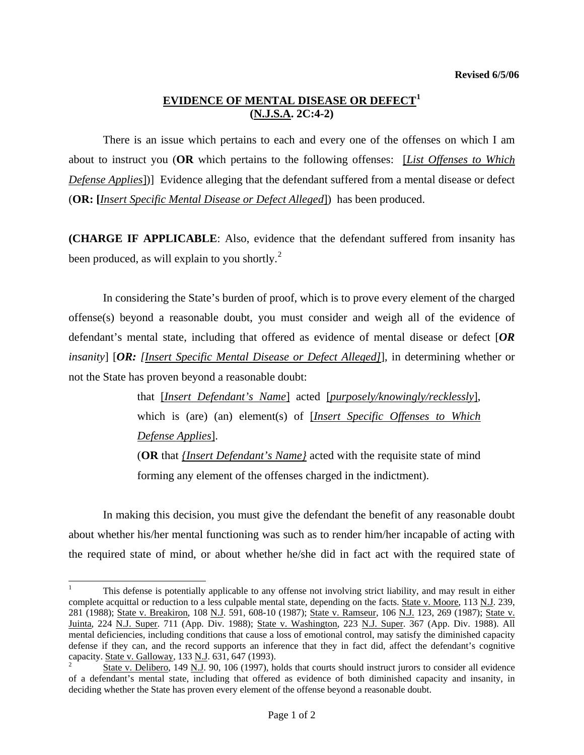## **EVIDENCE OF MENTAL DISEASE OR DEFECT[1](#page-0-0) (N.J.S.A. 2C:4-2)**

There is an issue which pertains to each and every one of the offenses on which I am about to instruct you (**OR** which pertains to the following offenses: [*List Offenses to Which Defense Applies*])] Evidence alleging that the defendant suffered from a mental disease or defect (**OR: [***Insert Specific Mental Disease or Defect Alleged*]) has been produced.

**(CHARGE IF APPLICABLE**: Also, evidence that the defendant suffered from insanity has been produced, as will explain to you shortly.<sup>[2](#page-0-1)</sup>

In considering the State's burden of proof, which is to prove every element of the charged offense(s) beyond a reasonable doubt, you must consider and weigh all of the evidence of defendant's mental state, including that offered as evidence of mental disease or defect [*OR insanity*] [*OR: [Insert Specific Mental Disease or Defect Alleged]*], in determining whether or not the State has proven beyond a reasonable doubt:

> that [*Insert Defendant's Name*] acted [*purposely/knowingly/recklessly*], which is (are) (an) element(s) of [*Insert Specific Offenses to Which Defense Applies*].

> (**OR** that *{Insert Defendant's Name}* acted with the requisite state of mind forming any element of the offenses charged in the indictment).

 In making this decision, you must give the defendant the benefit of any reasonable doubt about whether his/her mental functioning was such as to render him/her incapable of acting with the required state of mind, or about whether he/she did in fact act with the required state of

 $\overline{a}$ 

<span id="page-0-0"></span><sup>1</sup> This defense is potentially applicable to any offense not involving strict liability, and may result in either complete acquittal or reduction to a less culpable mental state, depending on the facts. State v. Moore, 113 N.J. 239, 281 (1988); State v. Breakiron, 108 N.J. 591, 608-10 (1987); State v. Ramseur, 106 N.J. 123, 269 (1987); State v. Juinta, 224 N.J. Super. 711 (App. Div. 1988); State v. Washington, 223 N.J. Super. 367 (App. Div. 1988). All mental deficiencies, including conditions that cause a loss of emotional control, may satisfy the diminished capacity defense if they can, and the record supports an inference that they in fact did, affect the defendant's cognitive capacity. State v. Galloway, 133 N.J. 631, 647 (1993). 2

<span id="page-0-1"></span>State v. Delibero, 149 N.J. 90, 106 (1997), holds that courts should instruct jurors to consider all evidence of a defendant's mental state, including that offered as evidence of both diminished capacity and insanity, in deciding whether the State has proven every element of the offense beyond a reasonable doubt.